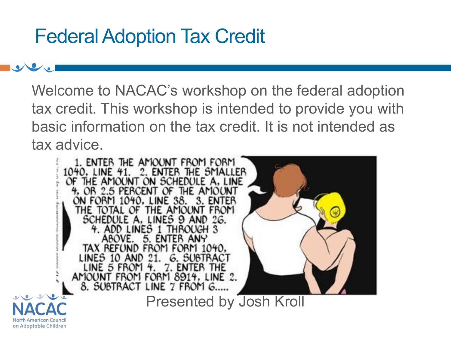## Federal Adoption Tax Credit

Welcome to NACAC's workshop on the federal adoption tax credit. This workshop is intended to provide you with basic information on the tax credit. It is not intended as tax advice.

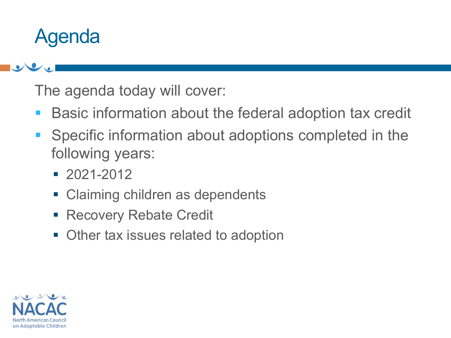## Agenda

The agenda today will cover:

- Basic information about the federal adoption tax credit
- Specific information about adoptions completed in the following years:
	- 2021-2012
	- Claiming children as dependents
	- **Recovery Rebate Credit**
	- Other tax issues related to adoption

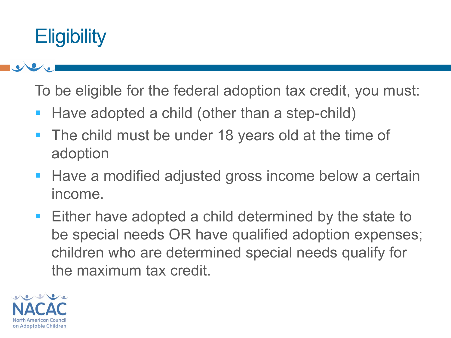## **Eligibility**

To be eligible for the federal adoption tax credit, you must:

- Have adopted a child (other than a step-child)
- The child must be under 18 years old at the time of adoption
- Have a modified adjusted gross income below a certain income.
- Either have adopted a child determined by the state to be special needs OR have qualified adoption expenses; children who are determined special needs qualify for the maximum tax credit.

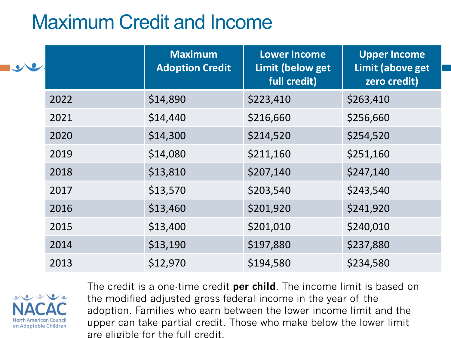## Maximum Credit and Income

| $\bullet$ |      | <b>Maximum</b><br><b>Adoption Credit</b> | <b>Lower Income</b><br>Limit (below get<br>full credit) | <b>Upper Income</b><br>Limit (above get<br>zero credit) |
|-----------|------|------------------------------------------|---------------------------------------------------------|---------------------------------------------------------|
|           | 2022 | \$14,890                                 | \$223,410                                               | \$263,410                                               |
|           | 2021 | \$14,440                                 | \$216,660                                               | \$256,660                                               |
|           | 2020 | \$14,300                                 | \$214,520                                               | \$254,520                                               |
|           | 2019 | \$14,080                                 | \$211,160                                               | \$251,160                                               |
|           | 2018 | \$13,810                                 | \$207,140                                               | \$247,140                                               |
|           | 2017 | \$13,570                                 | \$203,540                                               | \$243,540                                               |
|           | 2016 | \$13,460                                 | \$201,920                                               | \$241,920                                               |
|           | 2015 | \$13,400                                 | \$201,010                                               | \$240,010                                               |
|           | 2014 | \$13,190                                 | \$197,880                                               | \$237,880                                               |
|           | 2013 | \$12,970                                 | \$194,580                                               | \$234,580                                               |



The credit is a one-time credit **per child**. The income limit is based on the modified adjusted gross federal income in the year of the adoption. Families who earn between the lower income limit and the upper can take partial credit. Those who make below the lower limit are eligible for the full credit.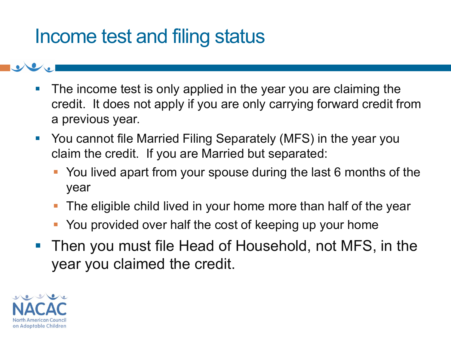## Income test and filing status

- The income test is only applied in the year you are claiming the credit. It does not apply if you are only carrying forward credit from a previous year.
- You cannot file Married Filing Separately (MFS) in the year you claim the credit. If you are Married but separated:
	- You lived apart from your spouse during the last 6 months of the year
	- The eligible child lived in your home more than half of the year
	- You provided over half the cost of keeping up your home
- Then you must file Head of Household, not MFS, in the year you claimed the credit.

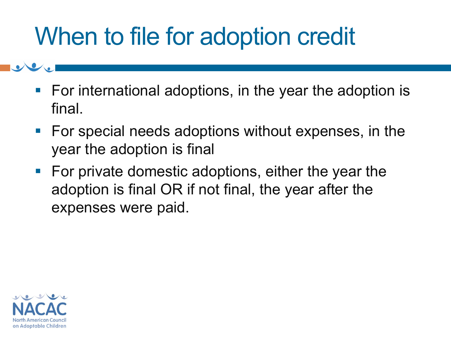# When to file for adoption credit

- For international adoptions, in the year the adoption is final.
- For special needs adoptions without expenses, in the year the adoption is final
- For private domestic adoptions, either the year the adoption is final OR if not final, the year after the expenses were paid.

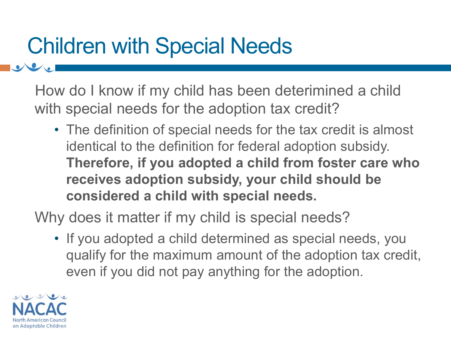# Children with Special Needs

How do I know if my child has been deterimined a child with special needs for the adoption tax credit?

• The definition of special needs for the tax credit is almost identical to the definition for federal adoption subsidy. **Therefore, if you adopted a child from foster care who receives adoption subsidy, your child should be considered a child with special needs.**

Why does it matter if my child is special needs?

• If you adopted a child determined as special needs, you qualify for the maximum amount of the adoption tax credit, even if you did not pay anything for the adoption.

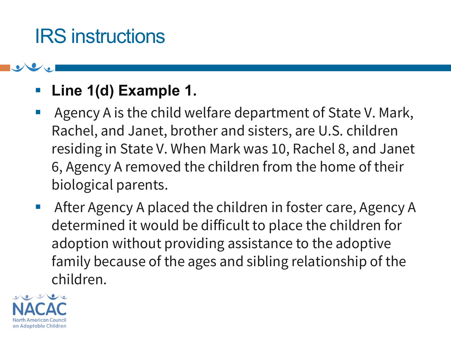## IRS instructions

### Line 1(d) Example 1.

- Agency A is the child welfare department of State V. Mark, Rachel, and Janet, brother and sisters, are U.S. children residing in State V. When Mark was 10, Rachel 8, and Janet 6, Agency A removed the children from the home of their biological parents.
- After Agency A placed the children in foster care, Agency A determined it would be difficult to place the children for adoption without providing assistance to the adoptive family because of the ages and sibling relationship of the children.

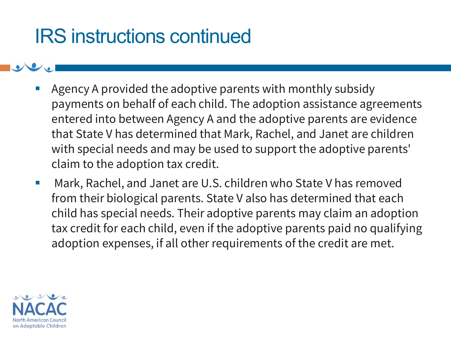## IRS instructions continued

- Agency A provided the adoptive parents with monthly subsidy payments on behalf of each child. The adoption assistance agreements entered into between Agency A and the adoptive parents are evidence that State V has determined that Mark, Rachel, and Janet are children with special needs and may be used to support the adoptive parents' claim to the adoption tax credit.
- Mark, Rachel, and Janet are U.S. children who State V has removed from their biological parents. State V also has determined that each child has special needs. Their adoptive parents may claim an adoption tax credit for each child, even if the adoptive parents paid no qualifying adoption expenses, if all other requirements of the credit are met.

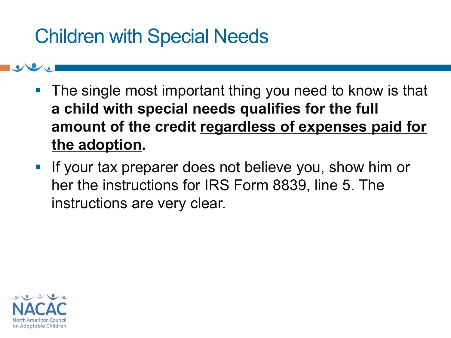## Children with Special Needs

- The single most important thing you need to know is that **a child with special needs qualifies for the full amount of the credit regardless of expenses paid for the adoption.**
- **.** If your tax preparer does not believe you, show him or her the instructions for IRS Form 8839, line 5. The instructions are very clear.

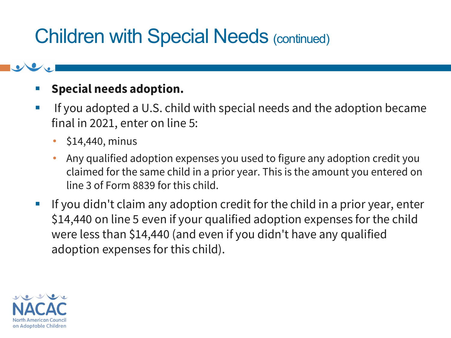## Children with Special Needs (continued)

#### **Special needs adoption.**

- If you adopted a U.S. child with special needs and the adoption became final in 2021, enter on line 5:
	- $\cdot$  \$14,440, minus
	- Any qualified adoption expenses you used to figure any adoption credit you claimed for the same child in a prior year. This is the amount you entered on line 3 of Form 8839 for this child.
- If you didn't claim any adoption credit for the child in a prior year, enter \$14,440 on line 5 even if your qualified adoption expenses for the child were less than \$14,440 (and even if you didn't have any qualified adoption expenses for this child).

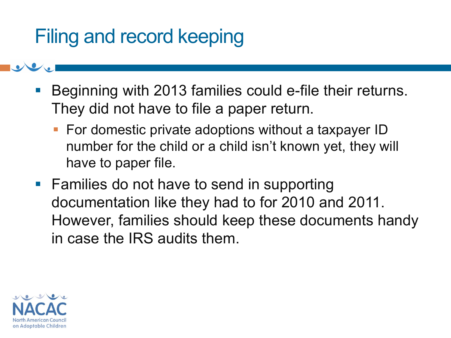## Filing and record keeping

- Beginning with 2013 families could e-file their returns. They did not have to file a paper return.
	- For domestic private adoptions without a taxpayer ID number for the child or a child isn't known yet, they will have to paper file.
- Families do not have to send in supporting documentation like they had to for 2010 and 2011. However, families should keep these documents handy in case the IRS audits them.

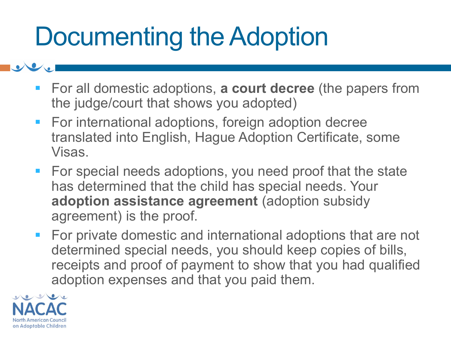# Documenting the Adoption

- For all domestic adoptions, **a court decree** (the papers from the judge/court that shows you adopted)
- For international adoptions, foreign adoption decree translated into English, Hague Adoption Certificate, some Visas.
- For special needs adoptions, you need proof that the state has determined that the child has special needs. Your **adoption assistance agreement** (adoption subsidy agreement) is the proof.
- For private domestic and international adoptions that are not determined special needs, you should keep copies of bills, receipts and proof of payment to show that you had qualified adoption expenses and that you paid them.

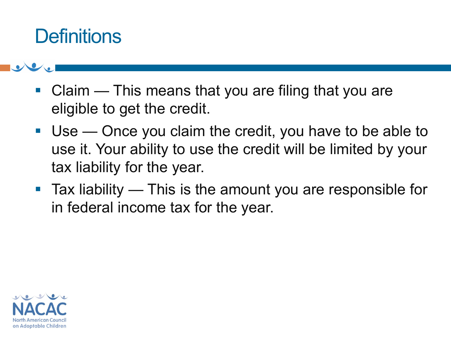## **Definitions**

- Claim This means that you are filing that you are eligible to get the credit.
- Use Once you claim the credit, you have to be able to use it. Your ability to use the credit will be limited by your tax liability for the year.
- Tax liability This is the amount you are responsible for in federal income tax for the year.

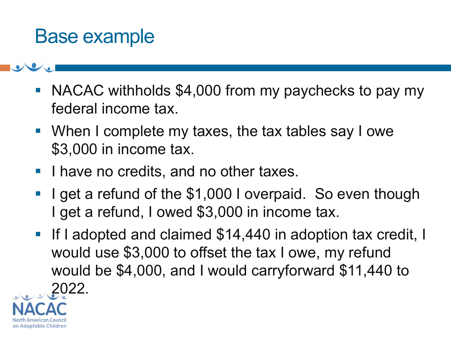## Base example

- NACAC withholds \$4,000 from my paychecks to pay my federal income tax.
- When I complete my taxes, the tax tables say I owe \$3,000 in income tax.
- **I have no credits, and no other taxes.**
- I get a refund of the \$1,000 I overpaid. So even though I get a refund, I owed \$3,000 in income tax.
- If I adopted and claimed \$14,440 in adoption tax credit, I would use \$3,000 to offset the tax I owe, my refund would be \$4,000, and I would carryforward \$11,440 to 2022.

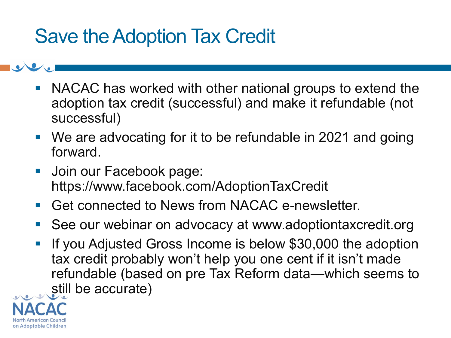## Save the Adoption Tax Credit

- NACAC has worked with other national groups to extend the adoption tax credit (successful) and make it refundable (not successful)
- We are advocating for it to be refundable in 2021 and going forward.
- Join our Facebook page: https://www.facebook.com/AdoptionTaxCredit
- Get connected to News from NACAC e-newsletter.
- See our webinar on advocacy at www.adoptiontaxcredit.org
- If you Adjusted Gross Income is below \$30,000 the adoption tax credit probably won't help you one cent if it isn't made refundable (based on pre Tax Reform data—which seems to still be accurate)

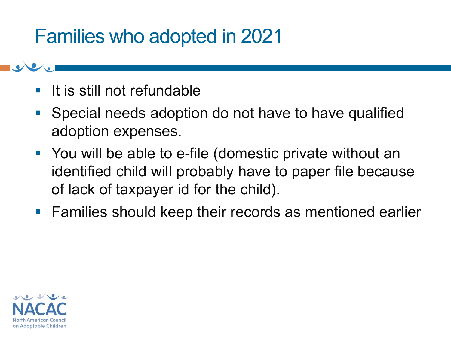## Families who adopted in 2021

- It is still not refundable
- Special needs adoption do not have to have qualified adoption expenses.
- You will be able to e-file (domestic private without an identified child will probably have to paper file because of lack of taxpayer id for the child).
- Families should keep their records as mentioned earlier

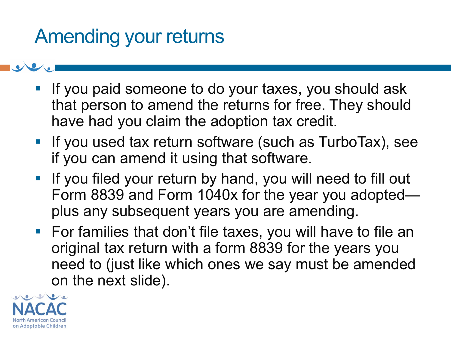## Amending your returns

- **.** If you paid someone to do your taxes, you should ask that person to amend the returns for free. They should have had you claim the adoption tax credit.
- If you used tax return software (such as TurboTax), see if you can amend it using that software.
- **.** If you filed your return by hand, you will need to fill out Form 8839 and Form 1040x for the year you adopted plus any subsequent years you are amending.
- For families that don't file taxes, you will have to file an original tax return with a form 8839 for the years you need to (just like which ones we say must be amended on the next slide).

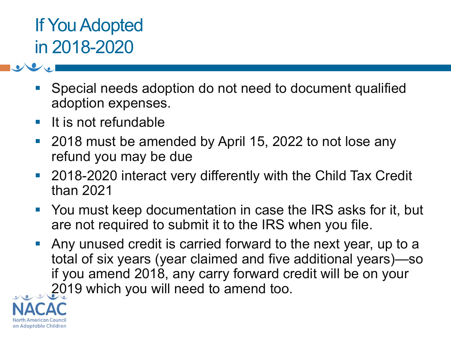## If You Adopted in 2018-2020

- Special needs adoption do not need to document qualified adoption expenses.
- It is not refundable
- 2018 must be amended by April 15, 2022 to not lose any refund you may be due
- 2018-2020 interact very differently with the Child Tax Credit than 2021
- You must keep documentation in case the IRS asks for it, but are not required to submit it to the IRS when you file.
- Any unused credit is carried forward to the next year, up to a total of six years (year claimed and five additional years)—so if you amend 2018, any carry forward credit will be on your 2019 which you will need to amend too.

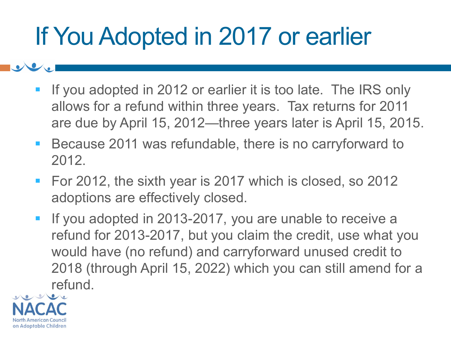# If You Adopted in 2017 or earlier

- If you adopted in 2012 or earlier it is too late. The IRS only allows for a refund within three years. Tax returns for 2011 are due by April 15, 2012—three years later is April 15, 2015.
- Because 2011 was refundable, there is no carryforward to 2012.
- For 2012, the sixth year is 2017 which is closed, so 2012 adoptions are effectively closed.
- **.** If you adopted in 2013-2017, you are unable to receive a refund for 2013-2017, but you claim the credit, use what you would have (no refund) and carryforward unused credit to 2018 (through April 15, 2022) which you can still amend for a refund.

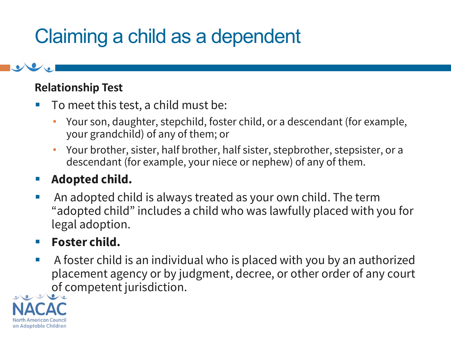## Claiming a child as a dependent

#### **Relationship Test**

- To meet this test, a child must be:
	- Your son, daughter, stepchild, foster child, or a descendant (for example, your grandchild) of any of them; or
	- Your brother, sister, half brother, half sister, stepbrother, stepsister, or a descendant (for example, your niece or nephew) of any of them.

### ▪ **Adopted child.**

■ An adopted child is always treated as your own child. The term "adopted child" includes a child who was lawfully placed with you for legal adoption.

### ▪ **Foster child.**

■ A foster child is an individual who is placed with you by an authorized placement agency or by judgment, decree, or other order of any court of competent jurisdiction.

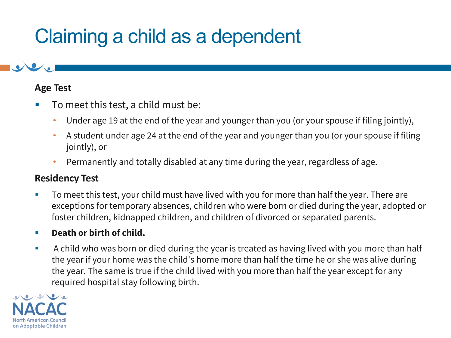## Claiming a child as a dependent

#### **Age Test**

- To meet this test, a child must be:
	- Under age 19 at the end of the year and younger than you (or your spouse if filing jointly),
	- A student under age 24 at the end of the year and younger than you (or your spouse if filing jointly), or
	- Permanently and totally disabled at any time during the year, regardless of age.

#### **Residency Test**

■ To meet this test, your child must have lived with you for more than half the year. There are exceptions for temporary absences, children who were born or died during the year, adopted or foster children, kidnapped children, and children of divorced or separated parents.

#### ▪ **Death or birth of child.**

■ A child who was born or died during the year is treated as having lived with you more than half the year if your home was the child's home more than half the time he or she was alive during the year. The same is true if the child lived with you more than half the year except for any required hospital stay following birth.

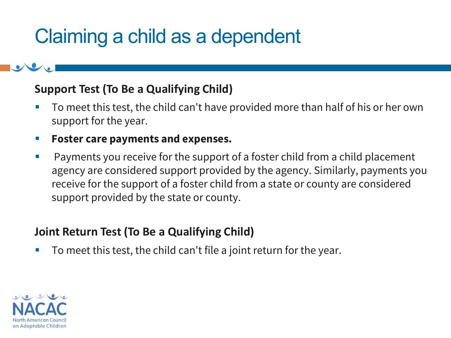## Claiming a child as a dependent

#### **Support Test (To Be a Qualifying Child)**

- To meet this test, the child can't have provided more than half of his or her own support for the year.
- **Foster care payments and expenses.**
- Payments you receive for the support of a foster child from a child placement agency are considered support provided by the agency. Similarly, payments you receive for the support of a foster child from a state or county are considered support provided by the state or county.

#### **Joint Return Test (To Be a Qualifying Child)**

To meet this test, the child can't file a joint return for the year.

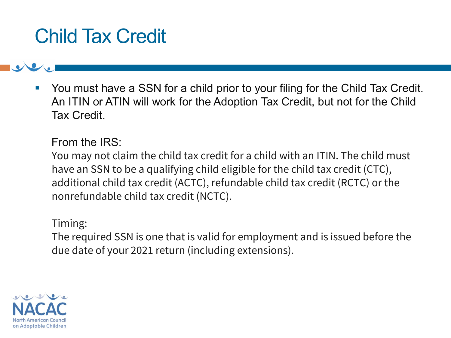## Child Tax Credit

You must have a SSN for a child prior to your filing for the Child Tax Credit. An ITIN or ATIN will work for the Adoption Tax Credit, but not for the Child Tax Credit.

From the IRS:

You may not claim the child tax credit for a child with an ITIN. The child must have an SSN to be a qualifying child eligible for the child tax credit (CTC), additional child tax credit (ACTC), refundable child tax credit (RCTC) or the nonrefundable child tax credit (NCTC).

Timing:

The required SSN is one that is valid for employment and is issued before the due date of your 2021 return (including extensions).

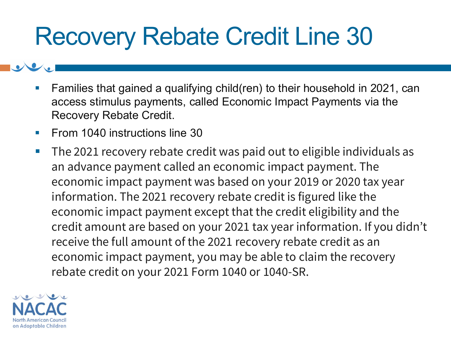# Recovery Rebate Credit Line 30

- Families that gained a qualifying child(ren) to their household in 2021, can access stimulus payments, called Economic Impact Payments via the Recovery Rebate Credit.
- From 1040 instructions line 30
- The 2021 recovery rebate credit was paid out to eligible individuals as an advance payment called an economic impact payment. The economic impact payment was based on your 2019 or 2020 tax year information. The 2021 recovery rebate credit is figured like the economic impact payment except that the credit eligibility and the credit amount are based on your 2021 tax year information. If you didn't receive the full amount of the 2021 recovery rebate credit as an economic impact payment, you may be able to claim the recovery rebate credit on your 2021 Form 1040 or 1040-SR.

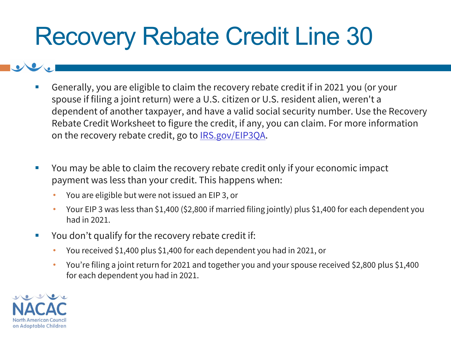# Recovery Rebate Credit Line 30

- Generally, you are eligible to claim the recovery rebate credit if in 2021 you (or your spouse if filing a joint return) were a U.S. citizen or U.S. resident alien, weren't a dependent of another taxpayer, and have a valid social security number. Use the Recovery Rebate Credit Worksheet to figure the credit, if any, you can claim. For more information on the recovery rebate credit, go to [IRS.gov/EIP3QA.](https://www.irs.gov/newsroom/questions-and-answers-about-the-third-economic-impact-payment)
- You may be able to claim the recovery rebate credit only if your economic impact payment was less than your credit. This happens when:
	- You are eligible but were not issued an EIP 3, or
	- Your EIP 3 was less than \$1,400 (\$2,800 if married filing jointly) plus \$1,400 for each dependent you had in 2021.
- You don't qualify for the recovery rebate credit if:
	- You received \$1,400 plus \$1,400 for each dependent you had in 2021, or
	- You're filing a joint return for 2021 and together you and your spouse received \$2,800 plus \$1,400 for each dependent you had in 2021.

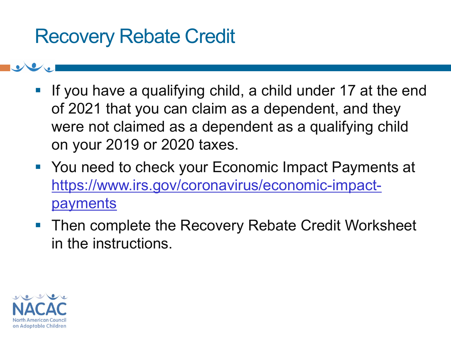## Recovery Rebate Credit

- **.** If you have a qualifying child, a child under 17 at the end of 2021 that you can claim as a dependent, and they were not claimed as a dependent as a qualifying child on your 2019 or 2020 taxes.
- You need to check your Economic Impact Payments at [https://www.irs.gov/coronavirus/economic-impact](https://www.irs.gov/coronavirus/economic-impact-payments)payments
- Then complete the Recovery Rebate Credit Worksheet in the instructions.

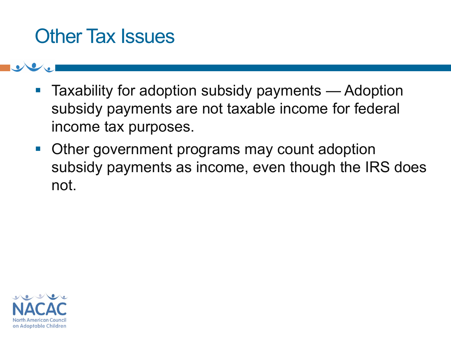## Other Tax Issues

- Taxability for adoption subsidy payments Adoption subsidy payments are not taxable income for federal income tax purposes.
- Other government programs may count adoption subsidy payments as income, even though the IRS does not.